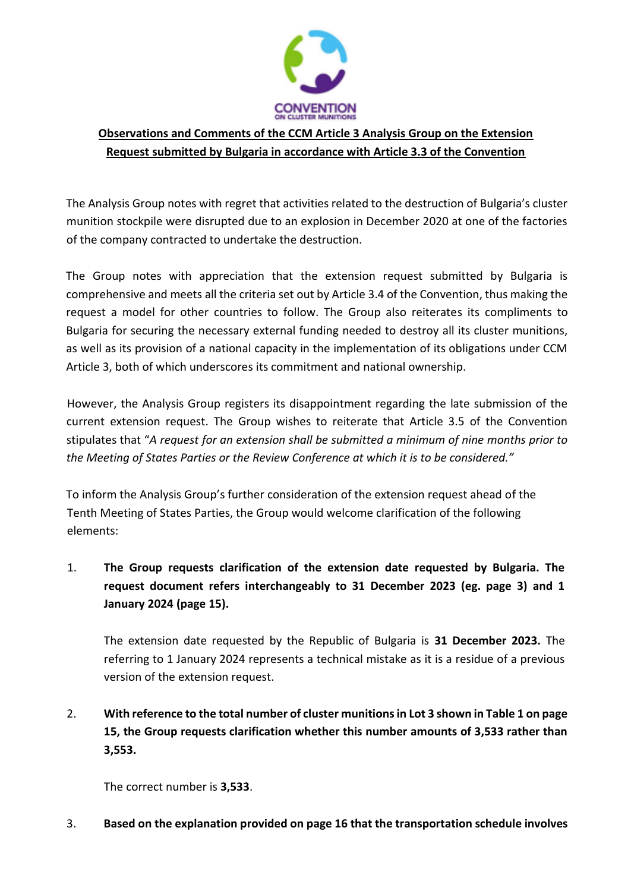

## **Observations and Comments of the CCM Article 3 Analysis Group on the Extension Request submitted by Bulgaria in accordance with Article 3.3 of the Convention**

The Analysis Group notes with regret that activities related to the destruction of Bulgaria's cluster munition stockpile were disrupted due to an explosion in December 2020 at one of the factories of the company contracted to undertake the destruction.

The Group notes with appreciation that the extension request submitted by Bulgaria is comprehensive and meets all the criteria set out by Article 3.4 of the Convention, thus making the request a model for other countries to follow. The Group also reiterates its compliments to Bulgaria for securing the necessary external funding needed to destroy all its cluster munitions, as well as its provision of a national capacity in the implementation of its obligations under CCM Article 3, both of which underscores its commitment and national ownership.

However, the Analysis Group registers its disappointment regarding the late submission of the current extension request. The Group wishes to reiterate that Article 3.5 of the Convention stipulates that "*A request for an extension shall be submitted a minimum of nine months prior to the Meeting of States Parties or the Review Conference at which it is to be considered."* 

To inform the Analysis Group's further consideration of the extension request ahead of the Tenth Meeting of States Parties, the Group would welcome clarification of the following elements:

1. **The Group requests clarification of the extension date requested by Bulgaria. The request document refers interchangeably to 31 December 2023 (eg. page 3) and 1 January 2024 (page 15).** 

The extension date requested by the Republic of Bulgaria is **31 December 2023.** The referring to 1 January 2024 represents a technical mistake as it is a residue of a previous version of the extension request.

2. **With reference to the total number of cluster munitions in Lot 3 shown in Table 1 on page 15, the Group requests clarification whether this number amounts of 3,533 rather than 3,553.** 

The correct number is **3,533**.

3. **Based on the explanation provided on page 16 that the transportation schedule involves**